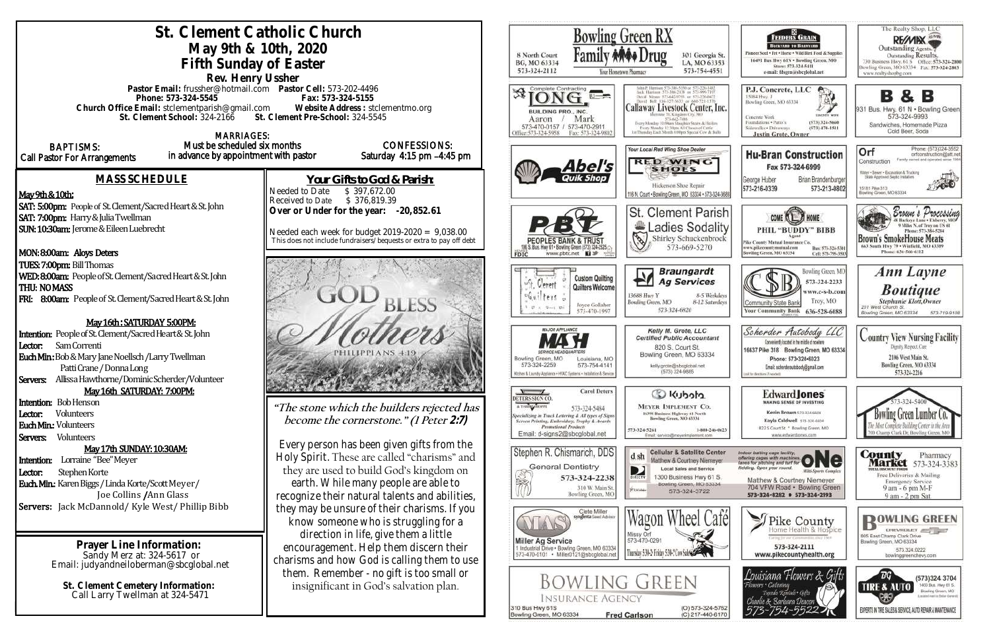